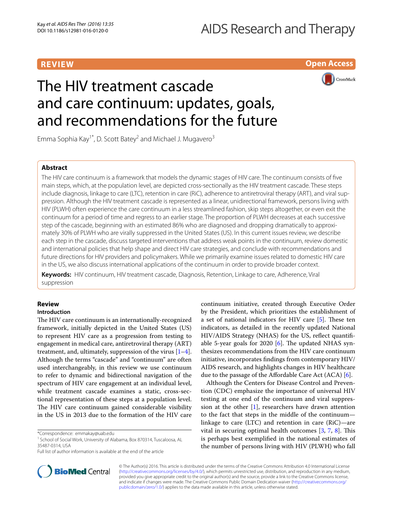# **REVIEW**

# AIDS Research and Therapy

# **Open Access**



# The HIV treatment cascade and care continuum: updates, goals, and recommendations for the future

Emma Sophia Kay<sup>1\*</sup>, D. Scott Batey<sup>2</sup> and Michael J. Mugavero<sup>3</sup>

## **Abstract**

The HIV care continuum is a framework that models the dynamic stages of HIV care. The continuum consists of five main steps, which, at the population level, are depicted cross-sectionally as the HIV treatment cascade. These steps include diagnosis, linkage to care (LTC), retention in care (RiC), adherence to antiretroviral therapy (ART), and viral suppression. Although the HIV treatment cascade is represented as a linear, unidirectional framework, persons living with HIV (PLWH) often experience the care continuum in a less streamlined fashion, skip steps altogether, or even exit the continuum for a period of time and regress to an earlier stage. The proportion of PLWH decreases at each successive step of the cascade, beginning with an estimated 86% who are diagnosed and dropping dramatically to approximately 30% of PLWH who are virally suppressed in the United States (US). In this current issues review, we describe each step in the cascade, discuss targeted interventions that address weak points in the continuum, review domestic and international policies that help shape and direct HIV care strategies, and conclude with recommendations and future directions for HIV providers and policymakers. While we primarily examine issues related to domestic HIV care in the US, we also discuss international applications of the continuum in order to provide broader context.

**Keywords:** HIV continuum, HIV treatment cascade, Diagnosis, Retention, Linkage to care, Adherence, Viral suppression

# **Review**

## **Introduction**

The HIV care continuum is an internationally-recognized framework, initially depicted in the United States (US) to represent HIV care as a progression from testing to engagement in medical care, antiretroviral therapy (ART) treatment, and, ultimately, suppression of the virus  $[1-4]$  $[1-4]$ . Although the terms "cascade" and "continuum" are often used interchangeably, in this review we use continuum to refer to dynamic and bidirectional navigation of the spectrum of HIV care engagement at an individual level, while treatment cascade examines a static, cross-sectional representation of these steps at a population level. The HIV care continuum gained considerable visibility in the US in 2013 due to the formation of the HIV care

\*Correspondence: emmakay@uab.edu



Although the Centers for Disease Control and Prevention (CDC) emphasize the importance of universal HIV testing at one end of the continuum and viral suppression at the other  $[1]$  $[1]$ , researchers have drawn attention to the fact that steps in the middle of the continuum linkage to care (LTC) and retention in care (RiC)—are vital in securing optimal health outcomes [\[3](#page-5-4), [7,](#page-5-5) [8](#page-5-6)]. This is perhaps best exemplified in the national estimates of the number of persons living with HIV (PLWH) who fall



© The Author(s) 2016. This article is distributed under the terms of the Creative Commons Attribution 4.0 International License [\(http://creativecommons.org/licenses/by/4.0/\)](http://creativecommons.org/licenses/by/4.0/), which permits unrestricted use, distribution, and reproduction in any medium, provided you give appropriate credit to the original author(s) and the source, provide a link to the Creative Commons license, and indicate if changes were made. The Creative Commons Public Domain Dedication waiver ([http://creativecommons.org/](http://creativecommons.org/publicdomain/zero/1.0/) [publicdomain/zero/1.0/](http://creativecommons.org/publicdomain/zero/1.0/)) applies to the data made available in this article, unless otherwise stated.

<sup>&</sup>lt;sup>1</sup> School of Social Work, University of Alabama, Box 870314, Tuscaloosa, AL 35487-0314, USA

Full list of author information is available at the end of the article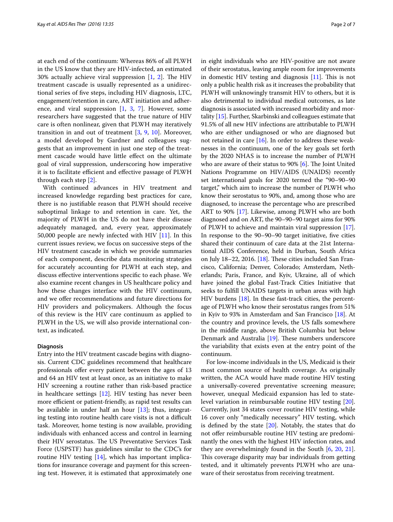at each end of the continuum: Whereas 86% of all PLWH in the US know that they are HIV-infected, an estimated 30% actually achieve viral suppression [\[1](#page-5-0), [2\]](#page-5-7). The HIV treatment cascade is usually represented as a unidirectional series of five steps, including HIV diagnosis, LTC, engagement/retention in care, ART initiation and adherence, and viral suppression  $[1, 3, 7]$  $[1, 3, 7]$  $[1, 3, 7]$  $[1, 3, 7]$  $[1, 3, 7]$  $[1, 3, 7]$ . However, some researchers have suggested that the true nature of HIV care is often nonlinear, given that PLWH may iteratively transition in and out of treatment [[3,](#page-5-4) [9](#page-5-8), [10](#page-5-9)]. Moreover, a model developed by Gardner and colleagues suggests that an improvement in just one step of the treatment cascade would have little effect on the ultimate goal of viral suppression, underscoring how imperative it is to facilitate efficient and effective passage of PLWH through each step [\[2](#page-5-7)].

With continued advances in HIV treatment and increased knowledge regarding best practices for care, there is no justifiable reason that PLWH should receive suboptimal linkage to and retention in care. Yet, the majority of PLWH in the US do not have their disease adequately managed, and, every year, approximately 50,000 people are newly infected with HIV  $[11]$  $[11]$ . In this current issues review, we focus on successive steps of the HIV treatment cascade in which we provide summaries of each component, describe data monitoring strategies for accurately accounting for PLWH at each step, and discuss effective interventions specific to each phase. We also examine recent changes in US healthcare policy and how these changes interface with the HIV continuum, and we offer recommendations and future directions for HIV providers and policymakers. Although the focus of this review is the HIV care continuum as applied to PLWH in the US, we will also provide international context, as indicated.

## **Diagnosis**

Entry into the HIV treatment cascade begins with diagnosis. Current CDC guidelines recommend that healthcare professionals offer every patient between the ages of 13 and 64 an HIV test at least once, as an initiative to make HIV screening a routine rather than risk-based practice in healthcare settings [[12](#page-5-11)]. HIV testing has never been more efficient or patient-friendly, as rapid test results can be available in under half an hour [[13\]](#page-5-12); thus, integrating testing into routine health care visits is not a difficult task. Moreover, home testing is now available, providing individuals with enhanced access and control in learning their HIV serostatus. The US Preventative Services Task Force (USPSTF) has guidelines similar to the CDC's for routine HIV testing [[14](#page-5-13)], which has important implications for insurance coverage and payment for this screening test. However, it is estimated that approximately one in eight individuals who are HIV-positive are not aware of their serostatus, leaving ample room for improvements in domestic HIV testing and diagnosis [\[11\]](#page-5-10). This is not only a public health risk as it increases the probability that PLWH will unknowingly transmit HIV to others, but it is also detrimental to individual medical outcomes, as late diagnosis is associated with increased morbidity and mortality [\[15](#page-5-14)]. Further, Skarbinski and colleagues estimate that 91.5% of all new HIV infections are attributable to PLWH who are either undiagnosed or who are diagnosed but not retained in care  $[16]$  $[16]$  $[16]$ . In order to address these weaknesses in the continuum, one of the key goals set forth by the 2020 NHAS is to increase the number of PLWH who are aware of their status to 90% [\[6\]](#page-5-3). The Joint United Nations Programme on HIV/AIDS (UNAIDS) recently set international goals for 2020 termed the "90–90–90 target," which aim to increase the number of PLWH who know their serostatus to 90%, and, among those who are diagnosed, to increase the percentage who are prescribed ART to 90% [[17\]](#page-5-16). Likewise, among PLWH who are both diagnosed and on ART, the 90–90–90 target aims for 90% of PLWH to achieve and maintain viral suppression [\[17](#page-5-16)]. In response to the 90–90–90 target initiative, five cities shared their continuum of care data at the 21st International AIDS Conference, held in Durban, South Africa on July 18–22, 2016. [\[18](#page-5-17)]. These cities included San Francisco, California; Denver, Colorado; Amsterdam, Netherlands; Paris, France, and Kyiv, Ukraine, all of which have joined the global Fast-Track Cities Initiative that seeks to fulfill UNAIDS targets in urban areas with high HIV burdens [\[18\]](#page-5-17). In these fast-track cities, the percentage of PLWH who know their serostatus ranges from 51% in Kyiv to 93% in Amsterdam and San Francisco [[18](#page-5-17)]. At the country and province levels, the US falls somewhere in the middle range, above British Columbia but below Denmark and Australia [\[19\]](#page-5-18). These numbers underscore the variability that exists even at the entry point of the continuum.

For low-income individuals in the US, Medicaid is their most common source of health coverage. As originally written, the ACA would have made routine HIV testing a universally-covered preventative screening measure; however, unequal Medicaid expansion has led to statelevel variation in reimbursable routine HIV testing [\[20](#page-5-19)]. Currently, just 34 states cover routine HIV testing, while 16 cover only "medically necessary" HIV testing, which is defined by the state [[20](#page-5-19)]. Notably, the states that do not offer reimbursable routine HIV testing are predominantly the ones with the highest HIV infection rates, and they are overwhelmingly found in the South [\[6](#page-5-3), [20,](#page-5-19) [21](#page-5-20)]. This coverage disparity may bar individuals from getting tested, and it ultimately prevents PLWH who are unaware of their serostatus from receiving treatment.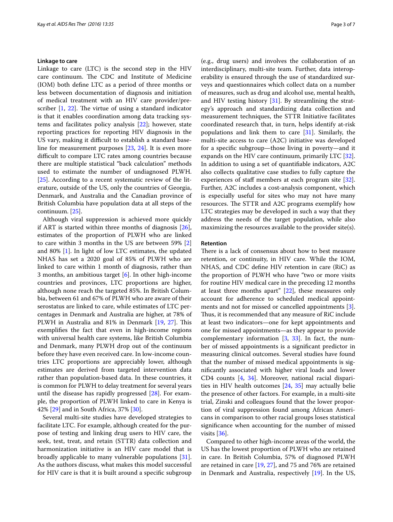### **Linkage to care**

Linkage to care (LTC) is the second step in the HIV care continuum. The CDC and Institute of Medicine (IOM) both define LTC as a period of three months or less between documentation of diagnosis and initiation of medical treatment with an HIV care provider/prescriber [[1,](#page-5-0) [22\]](#page-5-21). The virtue of using a standard indicator is that it enables coordination among data tracking systems and facilitates policy analysis [\[22](#page-5-21)]; however, state reporting practices for reporting HIV diagnosis in the US vary, making it difficult to establish a standard baseline for measurement purposes [\[23](#page-5-22), [24](#page-5-23)]. It is even more difficult to compare LTC rates among countries because there are multiple statistical "back calculation" methods used to estimate the number of undiagnosed PLWH. [[25\]](#page-5-24). According to a recent systematic review of the literature, outside of the US, only the countries of Georgia, Denmark, and Australia and the Canadian province of British Columbia have population data at all steps of the continuum. [\[25](#page-5-24)].

Although viral suppression is achieved more quickly if ART is started within three months of diagnosis  $[26]$  $[26]$ , estimates of the proportion of PLWH who are linked to care within 3 months in the US are between 59% [\[2](#page-5-7)] and 80% [\[1](#page-5-0)]. In light of low LTC estimates, the updated NHAS has set a 2020 goal of 85% of PLWH who are linked to care within 1 month of diagnosis, rather than 3 months, an ambitious target [\[6](#page-5-3)]. In other high-income countries and provinces, LTC proportions are higher, although none reach the targeted 85%. In British Columbia, between 61 and 67% of PLWH who are aware of their serostatus are linked to care, while estimates of LTC percentages in Denmark and Australia are higher, at 78% of PLWH in Australia and 81% in Denmark [\[19](#page-5-18), [27\]](#page-6-1). This exemplifies the fact that even in high-income regions with universal health care systems, like British Columbia and Denmark, many PLWH drop out of the continuum before they have even received care. In low-income countries LTC proportions are appreciably lower, although estimates are derived from targeted intervention data rather than population-based data. In these countries, it is common for PLWH to delay treatment for several years until the disease has rapidly progressed [\[28\]](#page-6-2). For example, the proportion of PLWH linked to care in Kenya is 42% [[29\]](#page-6-3) and in South Africa, 37% [[30\]](#page-6-4).

Several multi-site studies have developed strategies to facilitate LTC. For example, although created for the purpose of testing and linking drug users to HIV care, the seek, test, treat, and retain (STTR) data collection and harmonization initiative is an HIV care model that is broadly applicable to many vulnerable populations [\[31](#page-6-5)]. As the authors discuss, what makes this model successful for HIV care is that it is built around a specific subgroup (e.g., drug users) and involves the collaboration of an interdisciplinary, multi-site team. Further, data interoperability is ensured through the use of standardized surveys and questionnaires which collect data on a number of measures, such as drug and alcohol use, mental health, and HIV testing history [\[31\]](#page-6-5). By streamlining the strategy's approach and standardizing data collection and measurement techniques, the STTR Initiative facilitates coordinated research that, in turn, helps identify at-risk populations and link them to care [[31](#page-6-5)]. Similarly, the multi-site access to care (A2C) initiative was developed for a specific subgroup—those living in poverty—and it expands on the HIV care continuum, primarily LTC [\[32](#page-6-6)]. In addition to using a set of quantifiable indicators, A2C also collects qualitative case studies to fully capture the experiences of staff members at each program site [\[32](#page-6-6)]. Further, A2C includes a cost-analysis component, which is especially useful for sites who may not have many resources. The STTR and A2C programs exemplify how LTC strategies may be developed in such a way that they address the needs of the target population, while also maximizing the resources available to the provider site(s).

## **Retention**

There is a lack of consensus about how to best measure retention, or continuity, in HIV care. While the IOM, NHAS, and CDC define HIV retention in care (RiC) as the proportion of PLWH who have "two or more visits for routine HIV medical care in the preceding 12 months at least three months apart" [\[22\]](#page-5-21), these measures only account for adherence to scheduled medical appointments and not for missed or cancelled appointments [\[3](#page-5-4)]. Thus, it is recommended that any measure of RiC include at least two indicators—one for kept appointments and one for missed appointments—as they appear to provide complementary information [[3,](#page-5-4) [33](#page-6-7)]. In fact, the number of missed appointments is a significant predictor in measuring clinical outcomes. Several studies have found that the number of missed medical appointments is significantly associated with higher viral loads and lower CD4 counts [[4,](#page-5-1) [34](#page-6-8)]. Moreover, national racial disparities in HIV health outcomes [\[24](#page-5-23), [35\]](#page-6-9) may actually belie the presence of other factors. For example, in a multi-site trial, Zinski and colleagues found that the lower proportion of viral suppression found among African Americans in comparison to other racial groups loses statistical significance when accounting for the number of missed visits [\[36\]](#page-6-10).

Compared to other high-income areas of the world, the US has the lowest proportion of PLWH who are retained in care. In British Columbia, 57% of diagnosed PLWH are retained in care [[19,](#page-5-18) [27](#page-6-1)], and 75 and 76% are retained in Denmark and Australia, respectively [[19\]](#page-5-18). In the US,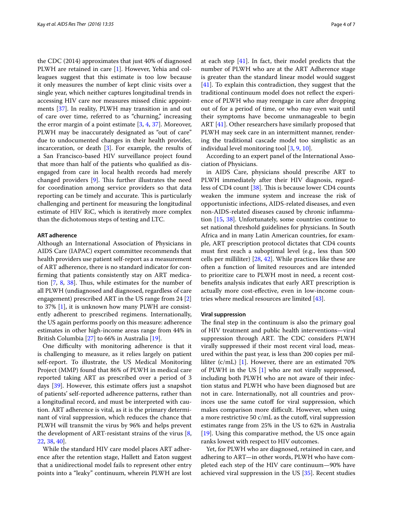the CDC (2014) approximates that just 40% of diagnosed PLWH are retained in care [[1\]](#page-5-0). However, Yehia and colleagues suggest that this estimate is too low because it only measures the number of kept clinic visits over a single year, which neither captures longitudinal trends in accessing HIV care nor measures missed clinic appointments [[37\]](#page-6-11). In reality, PLWH may transition in and out of care over time, referred to as "churning," increasing the error margin of a point estimate [[3,](#page-5-4) [4,](#page-5-1) [37](#page-6-11)]. Moreover, PLWH may be inaccurately designated as "out of care" due to undocumented changes in their health provider, incarceration, or death [[3\]](#page-5-4). For example, the results of a San Francisco-based HIV surveillance project found that more than half of the patients who qualified as disengaged from care in local health records had merely changed providers [[9\]](#page-5-8). This further illustrates the need for coordination among service providers so that data reporting can be timely and accurate. This is particularly challenging and pertinent for measuring the longitudinal estimate of HIV RiC, which is iteratively more complex than the dichotomous steps of testing and LTC.

### **ART adherence**

Although an International Association of Physicians in AIDS Care (IAPAC) expert committee recommends that health providers use patient self-report as a measurement of ART adherence, there is no standard indicator for confirming that patients consistently stay on ART medication [\[7,](#page-5-5) [8,](#page-5-6) [38](#page-6-12)]. Thus, while estimates for the number of all PLWH (undiagnosed and diagnosed, regardless of care engagement) prescribed ART in the US range from 24 [\[2](#page-5-7)] to 37% [\[1](#page-5-0)], it is unknown how many PLWH are consistently adherent to prescribed regimens. Internationally, the US again performs poorly on this measure: adherence estimates in other high-income areas range from 44% in British Columbia [\[27](#page-6-1)] to 66% in Australia [\[19\]](#page-5-18).

One difficulty with monitoring adherence is that it is challenging to measure, as it relies largely on patient self-report. To illustrate, the US Medical Monitoring Project (MMP) found that 86% of PLWH in medical care reported taking ART as prescribed over a period of 3 days [[39\]](#page-6-13). However, this estimate offers just a snapshot of patients' self-reported adherence patterns, rather than a longitudinal record, and must be interpreted with caution. ART adherence is vital, as it is the primary determinant of viral suppression, which reduces the chance that PLWH will transmit the virus by 96% and helps prevent the development of ART-resistant strains of the virus [\[8](#page-5-6), [22,](#page-5-21) [38,](#page-6-12) [40](#page-6-14)].

While the standard HIV care model places ART adherence after the retention stage, Hallett and Eaton suggest that a unidirectional model fails to represent other entry points into a "leaky" continuum, wherein PLWH are lost at each step [[41](#page-6-15)]. In fact, their model predicts that the number of PLWH who are at the ART Adherence stage is greater than the standard linear model would suggest [[41\]](#page-6-15). To explain this contradiction, they suggest that the traditional continuum model does not reflect the experience of PLWH who may reengage in care after dropping out of for a period of time, or who may even wait until their symptoms have become unmanageable to begin ART [[41](#page-6-15)]. Other researchers have similarly proposed that PLWH may seek care in an intermittent manner, rendering the traditional cascade model too simplistic as an individual level monitoring tool [\[3](#page-5-4), [9,](#page-5-8) [10](#page-5-9)].

According to an expert panel of the International Association of Physicians.

in AIDS Care, physicians should prescribe ART to PLWH immediately after their HIV diagnosis, regardless of CD4 count [\[38\]](#page-6-12). This is because lower CD4 counts weaken the immune system and increase the risk of opportunistic infections, AIDS-related diseases, and even non-AIDS-related diseases caused by chronic inflammation [[15,](#page-5-14) [38](#page-6-12)]. Unfortunately, some countries continue to set national threshold guidelines for physicians. In South Africa and in many Latin American countries, for example, ART prescription protocol dictates that CD4 counts must first reach a suboptimal level (e.g., less than 500 cells per milliliter) [\[28](#page-6-2), [42\]](#page-6-16). While practices like these are often a function of limited resources and are intended to prioritize care to PLWH most in need, a recent costbenefits analysis indicates that early ART prescription is actually more cost-effective, even in low-income countries where medical resources are limited [[43](#page-6-17)].

## **Viral suppression**

The final step in the continuum is also the primary goal of HIV treatment and public health interventions—viral suppression through ART. The CDC considers PLWH virally suppressed if their most recent viral load, measured within the past year, is less than 200 copies per mil-liliter (c/mL) [[1\]](#page-5-0). However, there are an estimated  $70\%$ of PLWH in the US [[1](#page-5-0)] who are not virally suppressed, including both PLWH who are not aware of their infection status and PLWH who have been diagnosed but are not in care. Internationally, not all countries and provinces use the same cutoff for viral suppression, which makes comparison more difficult. However, when using a more restrictive 50 c/mL as the cutoff, viral suppression estimates range from 25% in the US to 62% in Australia [[19\]](#page-5-18). Using this comparative method, the US once again ranks lowest with respect to HIV outcomes.

Yet, for PLWH who are diagnosed, retained in care, and adhering to ART—in other words, PLWH who have completed each step of the HIV care continuum—90% have achieved viral suppression in the US [\[35\]](#page-6-9). Recent studies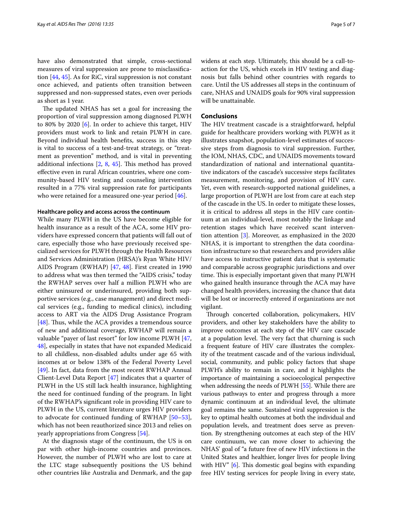have also demonstrated that simple, cross-sectional measures of viral suppression are prone to misclassification [[44,](#page-6-18) [45](#page-6-19)]. As for RiC, viral suppression is not constant once achieved, and patients often transition between suppressed and non-suppressed states, even over periods as short as 1 year.

The updated NHAS has set a goal for increasing the proportion of viral suppression among diagnosed PLWH to 80% by 2020 [[6\]](#page-5-3). In order to achieve this target, HIV providers must work to link and retain PLWH in care. Beyond individual health benefits, success in this step is vital to success of a test-and-treat strategy, or "treatment as prevention" method, and is vital in preventing additional infections [\[2](#page-5-7), [8,](#page-5-6) [45\]](#page-6-19). This method has proved effective even in rural African countries, where one community-based HIV testing and counseling intervention resulted in a 77% viral suppression rate for participants who were retained for a measured one-year period [\[46](#page-6-20)].

#### **Healthcare policy and access across the continuum**

While many PLWH in the US have become eligible for health insurance as a result of the ACA, some HIV providers have expressed concern that patients will fall out of care, especially those who have previously received specialized services for PLWH through the Health Resources and Services Administration (HRSA)'s Ryan White HIV/ AIDS Program (RWHAP) [[47,](#page-6-21) [48\]](#page-6-22). First created in 1990 to address what was then termed the "AIDS crisis," today the RWHAP serves over half a million PLWH who are either uninsured or underinsured, providing both supportive services (e.g., case management) and direct medical services (e.g., funding to medical clinics), including access to ART via the AIDS Drug Assistance Program [[48\]](#page-6-22). Thus, while the ACA provides a tremendous source of new and additional coverage, RWHAP will remain a valuable "payer of last resort" for low income PLWH [\[47](#page-6-21), [48\]](#page-6-22), especially in states that have not expanded Medicaid to all childless, non-disabled adults under age 65 with incomes at or below 138% of the Federal Poverty Level [[49\]](#page-6-23). In fact, data from the most recent RWHAP Annual Client-Level Data Report [[47\]](#page-6-21) indicates that a quarter of PLWH in the US still lack health insurance, highlighting the need for continued funding of the program. In light of the RWHAP's significant role in providing HIV care to PLWH in the US, current literature urges HIV providers to advocate for continued funding of RWHAP [[50](#page-6-24)[–53](#page-6-25)], which has not been reauthorized since 2013 and relies on yearly appropriations from Congress [[54](#page-6-26)].

At the diagnosis stage of the continuum, the US is on par with other high-income countries and provinces. However, the number of PLWH who are lost to care at the LTC stage subsequently positions the US behind other countries like Australia and Denmark, and the gap widens at each step. Ultimately, this should be a call-toaction for the US, which excels in HIV testing and diagnosis but falls behind other countries with regards to care. Until the US addresses all steps in the continuum of care, NHAS and UNAIDS goals for 90% viral suppression will be unattainable.

## **Conclusions**

The HIV treatment cascade is a straightforward, helpful guide for healthcare providers working with PLWH as it illustrates snapshot, population-level estimates of successive steps from diagnosis to viral suppression. Further, the IOM, NHAS, CDC, and UNAIDS movements toward standardization of national and international quantitative indicators of the cascade's successive steps facilitates measurement, monitoring, and provision of HIV care. Yet, even with research-supported national guidelines, a large proportion of PLWH are lost from care at each step of the cascade in the US. In order to mitigate these losses, it is critical to address all steps in the HIV care continuum at an individual-level, most notably the linkage and retention stages which have received scant intervention attention [\[3](#page-5-4)]. Moreover, as emphasized in the 2020 NHAS, it is important to strengthen the data coordination infrastructure so that researchers and providers alike have access to instructive patient data that is systematic and comparable across geographic jurisdictions and over time. This is especially important given that many PLWH who gained health insurance through the ACA may have changed health providers, increasing the chance that data will be lost or incorrectly entered if organizations are not vigilant.

Through concerted collaboration, policymakers, HIV providers, and other key stakeholders have the ability to improve outcomes at each step of the HIV care cascade at a population level. The very fact that churning is such a frequent feature of HIV care illustrates the complexity of the treatment cascade and of the various individual, social, community, and public policy factors that shape PLWH's ability to remain in care, and it highlights the importance of maintaining a socioecological perspective when addressing the needs of PLWH [[55](#page-6-27)]. While there are various pathways to enter and progress through a more dynamic continuum at an individual level, the ultimate goal remains the same. Sustained viral suppression is the key to optimal health outcomes at both the individual and population levels, and treatment does serve as prevention. By strengthening outcomes at each step of the HIV care continuum, we can move closer to achieving the NHAS' goal of "a future free of new HIV infections in the United States and healthier, longer lives for people living with HIV" [\[6](#page-5-3)]. This domestic goal begins with expanding free HIV testing services for people living in every state,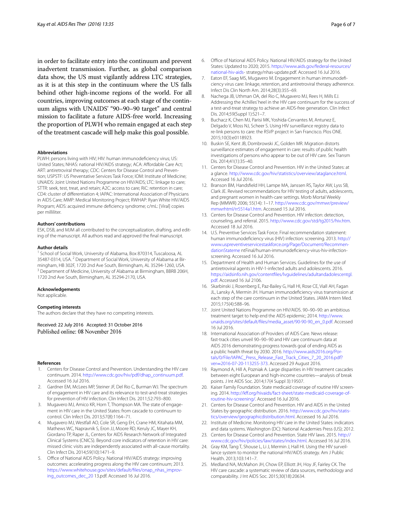in order to facilitate entry into the continuum and prevent inadvertent transmission. Further, as global comparison data show, the US must vigilantly address LTC strategies, as it is at this step in the continuum where the US falls behind other high-income regions of the world. For all countries, improving outcomes at each stage of the continuum aligns with UNAIDS' "90–90–90 target" and central mission to facilitate a future AIDS-free world. Increasing the proportion of PLWH who remain engaged at each step of the treatment cascade will help make this goal possible.

#### **Abbreviations**

PLWH: persons living with HIV; HIV: human immunodeficiency virus; US: United States; NHAS: national HIV/AIDS strategy; ACA: Affordable Care Act; ART: antiretroviral therapy; CDC: Centers for Disease Control and Prevention; USPSTF: US Preventative Services Task Force; IOM: Institute of Medicine; UNAIDS: Joint United Nations Programme on HIV/AIDS; LTC: linkage to care; STTR: seek, test, treat, and retain; A2C: access to care; RiC: retention in care; CD4: cluster of differentiation 4; IAPAC: International Association of Physicians in AIDS Care; MMP: Medical Monitoring Project; RWHAP: Ryan White HIV/AIDS Program; AIDS: acquired immune deficiency syndrome; c/mL: [Viral] copies per milliliter.

#### **Authors' contributions**

ESK, DSB, and MJM all contributed to the conceptualization, drafting, and editing of the manuscript. All authors read and approved the final manuscript.

#### **Author details**

<sup>1</sup> School of Social Work, University of Alabama, Box 870314, Tuscaloosa, AL 35487-0314, USA. <sup>2</sup> Department of Social Work, University of Alabama at Birmingham, HB 302F, 1720 2nd Ave South, Birmingham, AL 35294-1260, USA.<br><sup>3</sup> Department of Medicine, University of Alabama at Birmingham, BBRB 206H, 1720 2nd Ave South, Birmingham, AL 35294-2170, USA.

## **Acknowledgements**

Not applicable.

#### **Competing interests**

The authors declare that they have no competing interests.

Received: 22 July 2016 Accepted: 31 October 2016 Published online: 08 November 2016

#### **References**

- <span id="page-5-0"></span>1. Centers for Disease Control and Prevention. Understanding the HIV care continuum. 2014. [http://www.cdc.gov/hiv/pdf/dhap\\_continuum.pdf.](http://www.cdc.gov/hiv/pdf/dhap_continuum.pdf) Accessed 16 Jul 2016.
- <span id="page-5-7"></span>2. Gardner EM, McLees MP, Steiner JF, Del Rio C, Burman WJ. The spectrum of engagement in HIV care and its relevance to test-and-treat strategies for prevention of HIV infection. Clin Infect Dis. 2011;52:793–800.
- <span id="page-5-4"></span>3. Mugavero MJ, Amico KR, Horn T, Thompson MA. The state of engagement in HIV care in the United States: from cascade to continuum to control. Clin Infect Dis. 2013;57(8):1164–71.
- <span id="page-5-1"></span>4. Mugavero MJ, Westfall AO, Cole SR, Geng EH, Crane HM, Kitahata MM, Mathews WC, Napravnik S, Eron JJ, Moore RD, Keruly JC, Mayer KH, Giordano TP, Raper JL, Centers for AIDS Research Network of Integrated Clinical Systems (CNICS). Beyond core indicators of retention in HIV care: missed clinic visits are independently associated with all-cause mortality. Clin Infect Dis. 2014;59(10):1471–9.
- <span id="page-5-2"></span>5. Office of National AIDS Policy. National HIV/AIDS strategy: improving outcomes: accelerating progress along the HIV care continuum; 2013. [https://www.whitehouse.gov/sites/default/files/onap\\_nhas\\_improv](https://www.whitehouse.gov/sites/default/files/onap_nhas_improving_outcomes_dec_20)[ing\\_outcomes\\_dec\\_20](https://www.whitehouse.gov/sites/default/files/onap_nhas_improving_outcomes_dec_20) 13.pdf. Accessed 16 Jul 2016.
- <span id="page-5-3"></span>6. Office of National AIDS Policy. National HIV/AIDS strategy for the United States: Updated to 2020; 2015. [https://www.aids.gov/federal-resources/](https://www.aids.gov/federal-resources/national-hiv-aids) [national-hiv-aids](https://www.aids.gov/federal-resources/national-hiv-aids)- strategy/nhas-update.pdf. Accessed 16 Jul 2016.
- <span id="page-5-5"></span>7. Eaton EF, Saag MS, Mugavero M. Engagement in human immunodeficiency virus care: linkage, retention, and antiretroviral therapy adherence. Infect Dis Clin North Am. 2014;28(3):355–69.
- <span id="page-5-6"></span>8. Nachega JB, Uthman OA, del Rio C, Mugavero MJ, Rees H, Mills EJ. Addressing the Achilles' heel in the HIV care continuum for the success of a test-and-treat strategy to achieve an AIDS-free generation. Clin Infect Dis. 2014;59(Suppl 1):S21–7.
- <span id="page-5-8"></span>9. Buchacz K, Chen MJ, Parisi MK, Yoshida-Cervantes M, Antunez E, Delgado V, Moss NJ, Scheer S. Using HIV surveillance registry data to re-link persons to care: the RSVP project in San Francisco. Plos ONE. 2015;10(3):e0118923.
- <span id="page-5-9"></span>10. Buskin SE, Kent JB, Dombrowski JC, Golden MR. Migration distorts surveillance estimates of engagement in care: results of public health investigations of persons who appear to be out of HIV care. Sex Transm Dis. 2014;41(1):35–40.
- <span id="page-5-10"></span>11. Centers for Disease Control and Prevention. HIV in the United States: at a glance. <http://www.cdc.gov/hiv/statistics/overview/ataglance.html>. Accessed 16 Jul 2016.
- <span id="page-5-11"></span>12. Branson BM, Handsfield HH, Lampe MA, Janssen RS, Taylor AW, Lyss SB, Clark JE. Revised recommendations for HIV testing of adults, adolescents, and pregnant women in health-care settings. Morb Mortal Weekly Rep (MMWR) 2006; 55(14): 1–17. [http://www.cdc.gov/mmwr/preview/](http://www.cdc.gov/mmwr/preview/mmwrhtml/rr5514a1.htm) [mmwrhtml/rr5514a1.htm](http://www.cdc.gov/mmwr/preview/mmwrhtml/rr5514a1.htm). Accessed 15 Jul 2016.
- <span id="page-5-12"></span>13. Centers for Disease Control and Prevention. HIV infection: detection, counseling, and referral. 2015. [http://www.cdc.gov/std/tg2015/hiv.htm.](http://www.cdc.gov/std/tg2015/hiv.htm) Accessed 18 Jul 2016.
- <span id="page-5-13"></span>14. U.S. Preventive Services Task Force. Final recommendation statement: human immunodeficiency virus (HIV) infection: screening. 2013. [http://](http://www.uspreventiveservicestaskforce.org/Page/Document/RecommendationStateme) [www.uspreventiveservicestaskforce.org/Page/Document/Recommen](http://www.uspreventiveservicestaskforce.org/Page/Document/RecommendationStateme)[dationStateme](http://www.uspreventiveservicestaskforce.org/Page/Document/RecommendationStateme) ntFinal/human-immunodeficiency-virus-hiv-infectionscreening. Accessed 16 Jul 2016.
- <span id="page-5-14"></span>15. Department of Health and Human Services. Guidelines for the use of antiretroviral agents in HIV-1-infected adults and adolescents. 2016. [https://aidsinfo.nih.gov/contentfiles/lvguidelines/adultandadolescentgl.](https://aidsinfo.nih.gov/contentfiles/lvguidelines/adultandadolescentgl.pdf) [pdf.](https://aidsinfo.nih.gov/contentfiles/lvguidelines/adultandadolescentgl.pdf) Accessed 16 Jul 2106.
- <span id="page-5-15"></span>16. Skarbinski J, Rosenberg E, Paz-Bailey G, Hall HI, Rose CE, Viall AH, Fagan JL, Lansky A, Mermin JH. Human immunodeficiency virus transmission at each step of the care continuum in the United States. JAMA Intern Med. 2015;175(4):588–96.
- <span id="page-5-16"></span>17. Joint United Nations Programme on HIV/AIDS. 90–90–90: an ambitious treatment target to help end the AIDS epidemic; 2014. [http://www.](http://www.unaids.org/sites/default/files/media_asset/90-90-90_en_0.pdf) [unaids.org/sites/default/files/media\\_asset/90-90-90\\_en\\_0.pdf.](http://www.unaids.org/sites/default/files/media_asset/90-90-90_en_0.pdf) Accessed 16 Jul 2016.
- <span id="page-5-17"></span>18. International Association of Providers of AIDS Care. News release: fast-track cities unveil 90–90–90 and HIV care continuum data at AIDS 2016 demonstrating progress towards goal of ending AIDS as a public health threat by 2030. 2016. [http://www.aids2016.org/Por](http://www.aids2016.org/Portals/0/File/IAPAC_Press_Release_Fast_Track_Cities_7_20_2016.pdf%3fver%3d2016-07-20-113255-373)[tals/0/File/IAPAC\\_Press\\_Release\\_Fast\\_Track\\_Cities\\_7\\_20\\_2016.pdf?](http://www.aids2016.org/Portals/0/File/IAPAC_Press_Release_Fast_Track_Cities_7_20_2016.pdf%3fver%3d2016-07-20-113255-373) ver=[2016-07-20-113255-373.](http://www.aids2016.org/Portals/0/File/IAPAC_Press_Release_Fast_Track_Cities_7_20_2016.pdf%3fver%3d2016-07-20-113255-373) Accessed 29 August 2016.
- <span id="page-5-18"></span>19. Raymond A, Hill A, Pozniak A. Large disparities in HIV treatment cascades between eight European and high-income countries—analysis of break points. J Int AIDS Soc. 2014;17(4 Suppl 3):19507.
- <span id="page-5-19"></span>20. Kaiser Family Foundation. State medicaid coverage of routine HIV screening. 2014. [http://kff.org/hivaids/fact-sheet/state-medicaid-coverage-of](http://kff.org/hivaids/fact-sheet/state-medicaid-coverage-of-routine-hiv-screening/)[routine-hiv-screening/.](http://kff.org/hivaids/fact-sheet/state-medicaid-coverage-of-routine-hiv-screening/) Accessed 16 Jul 2016.
- <span id="page-5-20"></span>21. Centers for Disease Control and Prevention. HIV and AIDS in the United States by geographic distribution. 2016. [http://www.cdc.gov/hiv/statis](http://www.cdc.gov/hiv/statistics/overview/geographicdistribution.html)[tics/overview/geographicdistribution.html.](http://www.cdc.gov/hiv/statistics/overview/geographicdistribution.html) Accessed 16 Jul 2016.
- <span id="page-5-21"></span>22. Institute of Medicine. Monitoring HIV care in the United States: indicators and data systems. Washington (DC): National Academies Press (US); 2012.
- <span id="page-5-22"></span>23. Centers for Disease Control and Prevention. State HIV laws. 2015. [http://](http://www.cdc.gov/hiv/policies/law/states/index.html) [www.cdc.gov/hiv/policies/law/states/index.html.](http://www.cdc.gov/hiv/policies/law/states/index.html) Accessed 16 Jul 2016.
- <span id="page-5-23"></span>24. Gray KM, Tang T, Shouse L, Li J, Mermin J, Hall HI. Using the HIV surveillance system to monitor the national HIV/AIDS strategy. Am J Public Health. 2013;103:141–7.
- <span id="page-5-24"></span>25. Medland NA, McMahon JH, Chow EP, Elliott JH, Hoy JF, Fairley CK. The HIV care cascade: a systematic review of data sources, methodology and comparability. J Int AIDS Soc. 2015;30(18):20634.